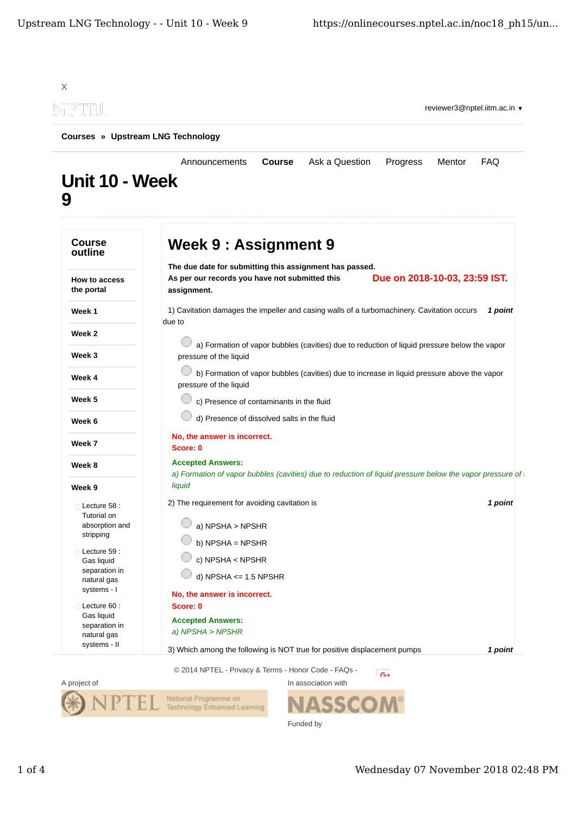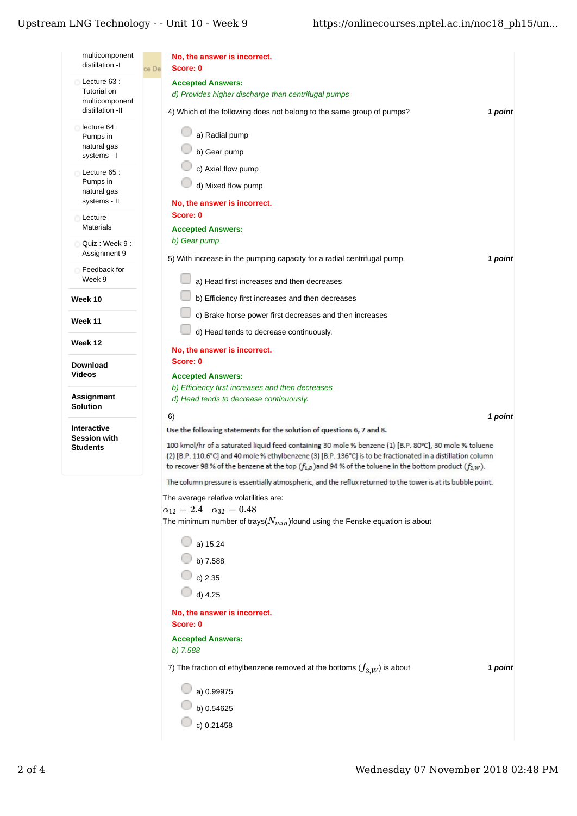## Upstream LNG Technology - - Unit $10$  - Week  $9$

| multicomponent<br>distillation -I         | No, the answer is incorrect.                                                                                                                                                                                                       |
|-------------------------------------------|------------------------------------------------------------------------------------------------------------------------------------------------------------------------------------------------------------------------------------|
|                                           | Score: 0<br>ce De                                                                                                                                                                                                                  |
| Lecture 63 :<br>Tutorial on               | <b>Accepted Answers:</b>                                                                                                                                                                                                           |
| multicomponent                            | d) Provides higher discharge than centrifugal pumps                                                                                                                                                                                |
| distillation -II                          | 4) Which of the following does not belong to the same group of pumps?<br>1 point                                                                                                                                                   |
| lecture 64 :                              | a) Radial pump                                                                                                                                                                                                                     |
| Pumps in<br>natural gas                   |                                                                                                                                                                                                                                    |
| systems - I                               | b) Gear pump                                                                                                                                                                                                                       |
| Lecture 65 :                              | c) Axial flow pump                                                                                                                                                                                                                 |
| Pumps in<br>natural gas                   | d) Mixed flow pump                                                                                                                                                                                                                 |
| systems - II                              | No, the answer is incorrect.                                                                                                                                                                                                       |
| Lecture                                   | Score: 0                                                                                                                                                                                                                           |
| <b>Materials</b>                          | <b>Accepted Answers:</b>                                                                                                                                                                                                           |
| Quiz: Week 9:                             | b) Gear pump                                                                                                                                                                                                                       |
| Assignment 9                              | 5) With increase in the pumping capacity for a radial centrifugal pump,<br>1 point                                                                                                                                                 |
| Feedback for<br>Week 9                    | a) Head first increases and then decreases                                                                                                                                                                                         |
| Week 10                                   | b) Efficiency first increases and then decreases                                                                                                                                                                                   |
|                                           | c) Brake horse power first decreases and then increases                                                                                                                                                                            |
| <b>Week 11</b>                            | d) Head tends to decrease continuously.                                                                                                                                                                                            |
| Week 12                                   | No, the answer is incorrect.                                                                                                                                                                                                       |
| <b>Download</b>                           | Score: 0                                                                                                                                                                                                                           |
| <b>Videos</b>                             | <b>Accepted Answers:</b>                                                                                                                                                                                                           |
|                                           | b) Efficiency first increases and then decreases                                                                                                                                                                                   |
| <b>Assignment</b><br>Solution             | d) Head tends to decrease continuously.                                                                                                                                                                                            |
|                                           | 6)<br>1 point                                                                                                                                                                                                                      |
| <b>Interactive</b><br><b>Session with</b> | Use the following statements for the solution of questions 6, 7 and 8.                                                                                                                                                             |
| <b>Students</b>                           | 100 kmol/hr of a saturated liquid feed containing 30 mole % benzene (1) [B.P. 80°C], 30 mole % toluene                                                                                                                             |
|                                           | (2) [B.P. 110.6°C] and 40 mole % ethylbenzene (3) [B.P. 136°C] is to be fractionated in a distillation column<br>to recover 98 % of the benzene at the top $(f_{1,D})$ and 94 % of the toluene in the bottom product $(f_{2,W})$ . |
|                                           | The column pressure is essentially atmospheric, and the reflux returned to the tower is at its bubble point.                                                                                                                       |
|                                           | The average relative volatilities are:                                                                                                                                                                                             |
|                                           | $\alpha_{12} = 2.4 \quad \alpha_{32} = 0.48$                                                                                                                                                                                       |
|                                           | The minimum number of trays( $N_{min}$ )found using the Fenske equation is about                                                                                                                                                   |
|                                           | a) 15.24                                                                                                                                                                                                                           |
|                                           | b) 7.588                                                                                                                                                                                                                           |
|                                           | $\circ$ c) 2.35                                                                                                                                                                                                                    |
|                                           | $d)$ 4.25                                                                                                                                                                                                                          |
|                                           |                                                                                                                                                                                                                                    |
|                                           | No, the answer is incorrect.<br>Score: 0                                                                                                                                                                                           |
|                                           | <b>Accepted Answers:</b>                                                                                                                                                                                                           |
|                                           | $b)$ 7.588                                                                                                                                                                                                                         |
|                                           | 7) The fraction of ethylbenzene removed at the bottoms $(f_{3,W})$ is about<br>1 point                                                                                                                                             |
|                                           | a) 0.99975                                                                                                                                                                                                                         |
|                                           | b) 0.54625                                                                                                                                                                                                                         |
|                                           | c) 0.21458                                                                                                                                                                                                                         |
|                                           |                                                                                                                                                                                                                                    |